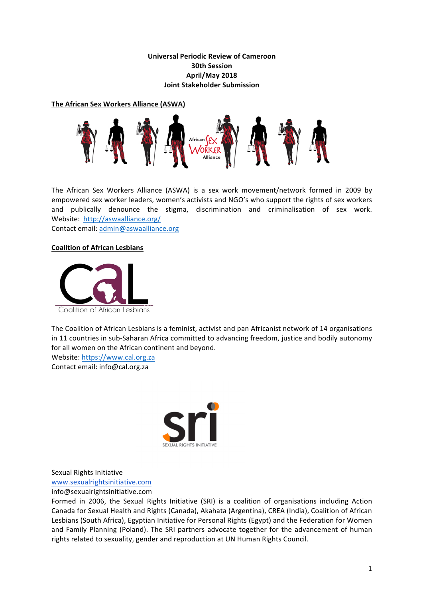# **Universal Periodic Review of Cameroon 30th Session April/May 2018 Joint Stakeholder Submission**

**The African Sex Workers Alliance (ASWA)** 



The African Sex Workers Alliance (ASWA) is a sex work movement/network formed in 2009 by empowered sex worker leaders, women's activists and NGO's who support the rights of sex workers and publically denounce the stigma, discrimination and criminalisation of sex work. Website: http://aswaalliance.org/

Contact email: admin@aswaalliance.org

## **Coalition of African Lesbians**



The Coalition of African Lesbians is a feminist, activist and pan Africanist network of 14 organisations in 11 countries in sub-Saharan Africa committed to advancing freedom, justice and bodily autonomy for all women on the African continent and beyond.

Website: https://www.cal.org.za Contact email: info@cal.org.za



Sexual Rights Initiative

www.sexualrightsinitiative.com

info@sexualrightsinitiative.com

Formed in 2006, the Sexual Rights Initiative (SRI) is a coalition of organisations including Action Canada for Sexual Health and Rights (Canada), Akahata (Argentina), CREA (India), Coalition of African Lesbians (South Africa), Egyptian Initiative for Personal Rights (Egypt) and the Federation for Women and Family Planning (Poland). The SRI partners advocate together for the advancement of human rights related to sexuality, gender and reproduction at UN Human Rights Council.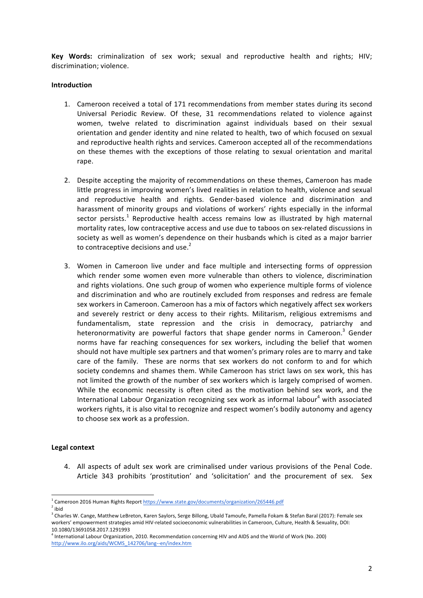**Key Words:** criminalization of sex work; sexual and reproductive health and rights; HIV; discrimination: violence.

#### **Introduction**

- 1. Cameroon received a total of 171 recommendations from member states during its second Universal Periodic Review. Of these, 31 recommendations related to violence against women, twelve related to discrimination against individuals based on their sexual orientation and gender identity and nine related to health, two of which focused on sexual and reproductive health rights and services. Cameroon accepted all of the recommendations on these themes with the exceptions of those relating to sexual orientation and marital rape.
- 2. Despite accepting the majority of recommendations on these themes, Cameroon has made little progress in improving women's lived realities in relation to health, violence and sexual and reproductive health and rights. Gender-based violence and discrimination and harassment of minority groups and violations of workers' rights especially in the informal sector persists.<sup>1</sup> Reproductive health access remains low as illustrated by high maternal mortality rates, low contraceptive access and use due to taboos on sex-related discussions in society as well as women's dependence on their husbands which is cited as a major barrier to contraceptive decisions and use. $2^2$
- 3. Women in Cameroon live under and face multiple and intersecting forms of oppression which render some women even more vulnerable than others to violence, discrimination and rights violations. One such group of women who experience multiple forms of violence and discrimination and who are routinely excluded from responses and redress are female sex workers in Cameroon. Cameroon has a mix of factors which negatively affect sex workers and severely restrict or deny access to their rights. Militarism, religious extremisms and fundamentalism, state repression and the crisis in democracy, patriarchy and heteronormativity are powerful factors that shape gender norms in Cameroon.<sup>3</sup> Gender norms have far reaching consequences for sex workers, including the belief that women should not have multiple sex partners and that women's primary roles are to marry and take care of the family. These are norms that sex workers do not conform to and for which society condemns and shames them. While Cameroon has strict laws on sex work, this has not limited the growth of the number of sex workers which is largely comprised of women. While the economic necessity is often cited as the motivation behind sex work, and the International Labour Organization recognizing sex work as informal labour<sup>4</sup> with associated workers rights, it is also vital to recognize and respect women's bodily autonomy and agency to choose sex work as a profession.

## **Legal context**

4. All aspects of adult sex work are criminalised under various provisions of the Penal Code. Article 343 prohibits 'prostitution' and 'solicitation' and the procurement of sex. Sex

<sup>3</sup> Charles W. Cange, Matthew LeBreton, Karen Saylors, Serge Billong, Ubald Tamoufe, Pamella Fokam & Stefan Baral (2017): Female sex workers' empowerment strategies amid HIV-related socioeconomic vulnerabilities in Cameroon, Culture, Health & Sexuality, DOI: 10.1080/13691058.2017.1291993 

 $<sup>4</sup>$  International Labour Organization, 2010. Recommendation concerning HIV and AIDS and the World of Work (No. 200)</sup> http://www.ilo.org/aids/WCMS\_142706/lang--en/index.htm

<sup>&</sup>lt;sup>1</sup> Cameroon 2016 Human Rights Report https://www.state.gov/documents/organization/265446.pdf

 $2$  ibid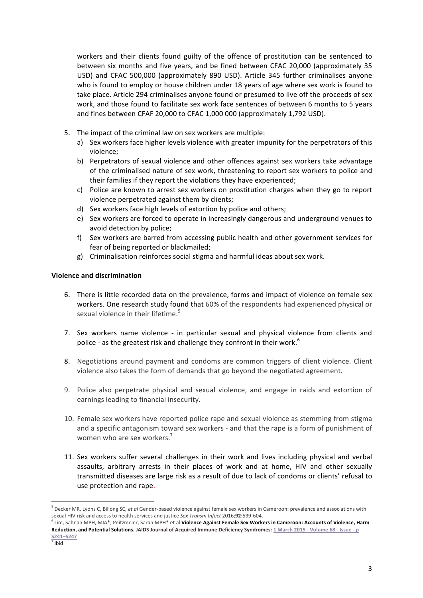workers and their clients found guilty of the offence of prostitution can be sentenced to between six months and five years, and be fined between CFAC 20,000 (approximately 35 USD) and CFAC 500,000 (approximately 890 USD). Article 345 further criminalises anyone who is found to employ or house children under 18 years of age where sex work is found to take place. Article 294 criminalises anyone found or presumed to live off the proceeds of sex work, and those found to facilitate sex work face sentences of between 6 months to 5 years and fines between CFAF 20,000 to CFAC 1,000 000 (approximately 1,792 USD).

- 5. The impact of the criminal law on sex workers are multiple:
	- a) Sex workers face higher levels violence with greater impunity for the perpetrators of this violence;
	- b) Perpetrators of sexual violence and other offences against sex workers take advantage of the criminalised nature of sex work, threatening to report sex workers to police and their families if they report the violations they have experienced;
	- c) Police are known to arrest sex workers on prostitution charges when they go to report violence perpetrated against them by clients;
	- d) Sex workers face high levels of extortion by police and others;
	- e) Sex workers are forced to operate in increasingly dangerous and underground venues to avoid detection by police;
	- f) Sex workers are barred from accessing public health and other government services for fear of being reported or blackmailed;
	- g) Criminalisation reinforces social stigma and harmful ideas about sex work.

## **Violence and discrimination**

- 6. There is little recorded data on the prevalence, forms and impact of violence on female sex workers. One research study found that 60% of the respondents had experienced physical or sexual violence in their lifetime.<sup>5</sup>
- 7. Sex workers name violence in particular sexual and physical violence from clients and police - as the greatest risk and challenge they confront in their work.<sup>6</sup>
- 8. Negotiations around payment and condoms are common triggers of client violence. Client violence also takes the form of demands that go beyond the negotiated agreement.
- 9. Police also perpetrate physical and sexual violence, and engage in raids and extortion of earnings leading to financial insecurity.
- 10. Female sex workers have reported police rape and sexual violence as stemming from stigma and a specific antagonism toward sex workers - and that the rape is a form of punishment of women who are sex workers.<sup>7</sup>
- 11. Sex workers suffer several challenges in their work and lives including physical and verbal assaults, arbitrary arrests in their places of work and at home, HIV and other sexually transmitted diseases are large risk as a result of due to lack of condoms or clients' refusal to use protection and rape.

 $\overline{a}$ 

<sup>&</sup>lt;sup>5</sup> Decker MR, Lyons C, Billong SC, et al Gender-based violence against female sex workers in Cameroon: prevalence and associations with sexual HIV risk and access to health services and justice Sex Transm Infect 2016;92:599-604.

<sup>&</sup>lt;sup>6</sup> Lim, Sahnah MPH, MIA\*; Peitzmeier, Sarah MPH\* et al Violence Against Female Sex Workers in Cameroon: Accounts of Violence, Harm Reduction, and Potential Solutions. JAIDS Journal of Acquired Immune Deficiency Syndromes: 1 March 2015 - Volume 68 - Issue - p **S241–S247**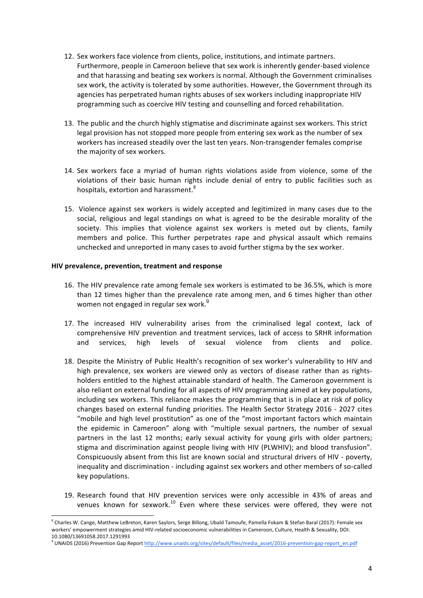- 12. Sex workers face violence from clients, police, institutions, and intimate partners. Furthermore, people in Cameroon believe that sex work is inherently gender-based violence and that harassing and beating sex workers is normal. Although the Government criminalises sex work, the activity is tolerated by some authorities. However, the Government through its agencies has perpetrated human rights abuses of sex workers including inappropriate HIV programming such as coercive HIV testing and counselling and forced rehabilitation.
- 13. The public and the church highly stigmatise and discriminate against sex workers. This strict legal provision has not stopped more people from entering sex work as the number of sex workers has increased steadily over the last ten years. Non-transgender females comprise the majority of sex workers.
- 14. Sex workers face a myriad of human rights violations aside from violence, some of the violations of their basic human rights include denial of entry to public facilities such as hospitals, extortion and harassment.<sup>8</sup>
- 15. Violence against sex workers is widely accepted and legitimized in many cases due to the social, religious and legal standings on what is agreed to be the desirable morality of the society. This implies that violence against sex workers is meted out by clients, family members and police. This further perpetrates rape and physical assault which remains unchecked and unreported in many cases to avoid further stigma by the sex worker.

#### **HIV prevalence, prevention, treatment and response**

- 16. The HIV prevalence rate among female sex workers is estimated to be 36.5%, which is more than 12 times higher than the prevalence rate among men, and 6 times higher than other women not engaged in regular sex work. $^9$
- 17. The increased HIV vulnerability arises from the criminalised legal context, lack of comprehensive HIV prevention and treatment services, lack of access to SRHR information and services, high levels of sexual violence from clients and police.
- 18. Despite the Ministry of Public Health's recognition of sex worker's vulnerability to HIV and high prevalence, sex workers are viewed only as vectors of disease rather than as rightsholders entitled to the highest attainable standard of health. The Cameroon government is also reliant on external funding for all aspects of HIV programming aimed at key populations, including sex workers. This reliance makes the programming that is in place at risk of policy changes based on external funding priorities. The Health Sector Strategy 2016 - 2027 cites "mobile and high level prostitution" as one of the "most important factors which maintain the epidemic in Cameroon" along with "multiple sexual partners, the number of sexual partners in the last 12 months; early sexual activity for young girls with older partners; stigma and discrimination against people living with HIV (PLWHIV); and blood transfusion". Conspicuously absent from this list are known social and structural drivers of HIV - poverty, inequality and discrimination - including against sex workers and other members of so-called key populations.
- 19. Research found that HIV prevention services were only accessible in 43% of areas and venues known for sexwork. $^{10}$  Even where these services were offered, they were not

<sup>&</sup>lt;sup>8</sup> Charles W. Cange, Matthew LeBreton, Karen Saylors, Serge Billong, Ubald Tamoufe, Pamella Fokam & Stefan Baral (2017): Female sex workers' empowerment strategies amid HIV-related socioeconomic vulnerabilities in Cameroon, Culture, Health & Sexuality, DOI: 10.1080/13691058.2017.1291993 

<sup>&</sup>lt;sup>9</sup> UNAIDS (2016) Prevention Gap Report http://www.unaids.org/sites/default/files/media\_asset/2016-prevention-gap-report\_en.pdf